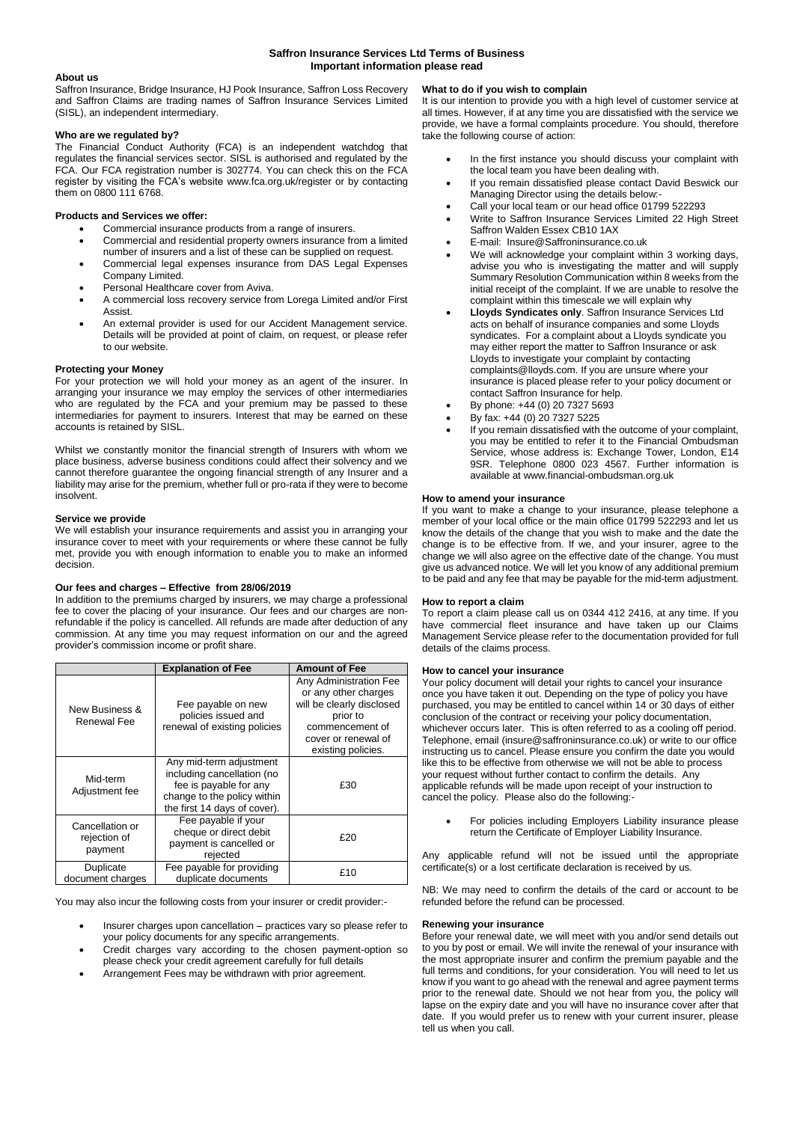## **Saffron Insurance Services Ltd Terms of Business Important information please read**

## **About us**

Saffron Insurance, Bridge Insurance, HJ Pook Insurance, Saffron Loss Recovery and Saffron Claims are trading names of Saffron Insurance Services Limited (SISL), an independent intermediary.

### **Who are we regulated by?**

The Financial Conduct Authority (FCA) is an independent watchdog that regulates the financial services sector. SISL is authorised and regulated by the FCA. Our FCA registration number is 302774. You can check this on the FCA register by visiting the FCA's website www.fca.org.uk/register or by contacting them on 0800 111 6768.

### **Products and Services we offer:**

- Commercial insurance products from a range of insurers.
- Commercial and residential property owners insurance from a limited number of insurers and a list of these can be supplied on request.
- Commercial legal expenses insurance from DAS Legal Expenses Company Limited.
- Personal Healthcare cover from Aviva.
- A commercial loss recovery service from Lorega Limited and/or First Assist.
- An external provider is used for our Accident Management service. Details will be provided at point of claim, on request, or please refer to our website.

## **Protecting your Money**

For your protection we will hold your money as an agent of the insurer. In arranging your insurance we may employ the services of other intermediaries who are regulated by the FCA and your premium may be passed to these intermediaries for payment to insurers. Interest that may be earned on these accounts is retained by SISL.

Whilst we constantly monitor the financial strength of Insurers with whom we place business, adverse business conditions could affect their solvency and we cannot therefore guarantee the ongoing financial strength of any Insurer and a liability may arise for the premium, whether full or pro-rata if they were to become insolvent.

### **Service we provide**

We will establish your insurance requirements and assist you in arranging your insurance cover to meet with your requirements or where these cannot be fully met, provide you with enough information to enable you to make an informed decision.

### **Our fees and charges – Effective from 28/06/2019**

In addition to the premiums charged by insurers, we may charge a professional fee to cover the placing of your insurance. Our fees and our charges are nonrefundable if the policy is cancelled. All refunds are made after deduction of any commission. At any time you may request information on our and the agreed provider's commission income or profit share.

|                                            | <b>Explanation of Fee</b>                                                                                                                      | <b>Amount of Fee</b>                                                                                                                                    |
|--------------------------------------------|------------------------------------------------------------------------------------------------------------------------------------------------|---------------------------------------------------------------------------------------------------------------------------------------------------------|
| New Business &<br>Renewal Fee              | Fee payable on new<br>policies issued and<br>renewal of existing policies                                                                      | Any Administration Fee<br>or any other charges<br>will be clearly disclosed<br>prior to<br>commencement of<br>cover or renewal of<br>existing policies. |
| Mid-term<br>Adjustment fee                 | Any mid-term adjustment<br>including cancellation (no<br>fee is payable for any<br>change to the policy within<br>the first 14 days of cover). | £30                                                                                                                                                     |
| Cancellation or<br>rejection of<br>payment | Fee payable if your<br>cheque or direct debit<br>payment is cancelled or<br>rejected                                                           | £20                                                                                                                                                     |
| Duplicate<br>document charges              | Fee payable for providing<br>duplicate documents                                                                                               | £10                                                                                                                                                     |

You may also incur the following costs from your insurer or credit provider:-

- Insurer charges upon cancellation practices vary so please refer to your policy documents for any specific arrangements.
- Credit charges vary according to the chosen payment-option so please check your credit agreement carefully for full details
- Arrangement Fees may be withdrawn with prior agreement.

### **What to do if you wish to complain**

It is our intention to provide you with a high level of customer service at all times. However, if at any time you are dissatisfied with the service we provide, we have a formal complaints procedure. You should, therefore take the following course of action:

- In the first instance you should discuss your complaint with the local team you have been dealing with.
- If you remain dissatisfied please contact David Beswick our Managing Director using the details below:-
- Call your local team or our head office 01799 522293
- Write to Saffron Insurance Services Limited 22 High Street Saffron Walden Essex CB10 1AX
- E-mail: Insure@Saffroninsurance.co.uk
- We will acknowledge your complaint within 3 working days, advise you who is investigating the matter and will supply Summary Resolution Communication within 8 weeks from the initial receipt of the complaint. If we are unable to resolve the complaint within this timescale we will explain why
- **Lloyds Syndicates only**. Saffron Insurance Services Ltd acts on behalf of insurance companies and some Lloyds syndicates. For a complaint about a Lloyds syndicate you may either report the matter to Saffron Insurance or ask Lloyds to investigate your complaint by contacting complaints@lloyds.com. If you are unsure where your insurance is placed please refer to your policy document or contact Saffron Insurance for help.
- By phone: +44 (0) 20 7327 5693
- By fax: +44 (0) 20 7327 5225
- If you remain dissatisfied with the outcome of your complaint, you may be entitled to refer it to the Financial Ombudsman Service, whose address is: Exchange Tower, London, E14 9SR. Telephone 0800 023 4567. Further information is available at www.financial-ombudsman.org.uk

# **How to amend your insurance**

If you want to make a change to your insurance, please telephone a member of your local office or the main office 01799 522293 and let us know the details of the change that you wish to make and the date the change is to be effective from. If we, and your insurer, agree to the change we will also agree on the effective date of the change. You must give us advanced notice. We will let you know of any additional premium to be paid and any fee that may be payable for the mid-term adjustment.

### **How to report a claim**

To report a claim please call us on 0344 412 2416, at any time. If you have commercial fleet insurance and have taken up our Claims Management Service please refer to the documentation provided for full details of the claims process.

### **How to cancel your insurance**

Your policy document will detail your rights to cancel your insurance once you have taken it out. Depending on the type of policy you have purchased, you may be entitled to cancel within 14 or 30 days of either conclusion of the contract or receiving your policy documentation, whichever occurs later. This is often referred to as a cooling off period. Telephone, email (insure@saffroninsurance.co.uk) or write to our office instructing us to cancel. Please ensure you confirm the date you would like this to be effective from otherwise we will not be able to process your request without further contact to confirm the details. Any applicable refunds will be made upon receipt of your instruction to cancel the policy. Please also do the following:-

 For policies including Employers Liability insurance please return the Certificate of Employer Liability Insurance.

Any applicable refund will not be issued until the appropriate certificate(s) or a lost certificate declaration is received by us.

NB: We may need to confirm the details of the card or account to be refunded before the refund can be processed.

### **Renewing your insurance**

Before your renewal date, we will meet with you and/or send details out to you by post or email. We will invite the renewal of your insurance with the most appropriate insurer and confirm the premium payable and the full terms and conditions, for your consideration. You will need to let us know if you want to go ahead with the renewal and agree payment terms prior to the renewal date. Should we not hear from you, the policy will lapse on the expiry date and you will have no insurance cover after that date. If you would prefer us to renew with your current insurer, please tell us when you call.